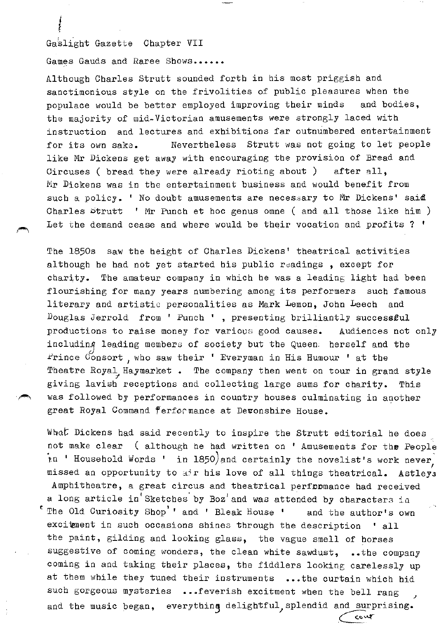I f,

Games Gauds and Raree Shows......

Although Charles Strutt sounded forth in his most priggish and sanctimonious style on the frivolities of public pleasures when the populace would be better employed improving their minds and bodies, the majority of mid-Victorian amusements were strongly laced with instruction and lectures and exhibitions far outnumbered entertainment for its own sake. Nevertheless Strutt was not going to let people like Mr Dickens get away with encouraging the provision of Bread and Circuses ( bread they were already rioting about ) after all,  $Mr$  Dickens was in the entertainment business and would benefit from such a polic<mark>y. '</mark> No doubt amusements are necessary to Mr Dickens' sai**d** Charles btrutt ' Mr Punch et hoc genus omne ( and all those like him ) Let the demand cease and where would be their vocation and profits ?  $\cdot$ 

The 1850s saw the height of Charles Dickens' theatrical activities although he had not yet started his public readings, except for charity. The amateur company in which he was a leading light had been flourishing for many years numbering among its performers such famous literary and artistic personalities as Mark Lemon, John Leech and Douglas Jerrold from ' Punch ' , presenting brilliantly successful productions to raise money for various good causes. Audiences not only including leading members of society but the Queen: herself and the  $P$ rince  $Consort$ , who saw their ' Everyman in His Humour ' at the Theatre Royal Haymarket. The company then went on tour in grand style giving lavish receptions and collecting large sums for charity. This was followed by performances in country houses culminating in another great Royal Command ferformance at Devonshire House.

Wbat Dickens had said recently to inspire the Strutt editorial he does not make clear ( although he had written on ' Amusements for the People in ' Household Words ' in 1850) and certainly the novelist's work never, missed an opportunity to air his love of all things theatrical. Astleys Amphitheatre, a great circus and theatrical perfoomance had received a long article in Sketches by Boz'and was attended by characters in The Old Curiosity Shop'' and ' Bleak House ' and the author's own excitement in such occasions shines through the description ' all the paint, gilding and looking glass, the vague smell of horses suggestive of coming wonders, the clean white sawdust, ..the company coming in and taking their places, the fiddlers looking carelessly up at them while they tuned their instruments ••• the curtain which hid such gorgeous mysteries ...feverish excitment when the bell rang and the music began, everythina delightful, splendid and surprising.

 $\mathsf{co}\,\mathsf{u}\mathsf{f}'$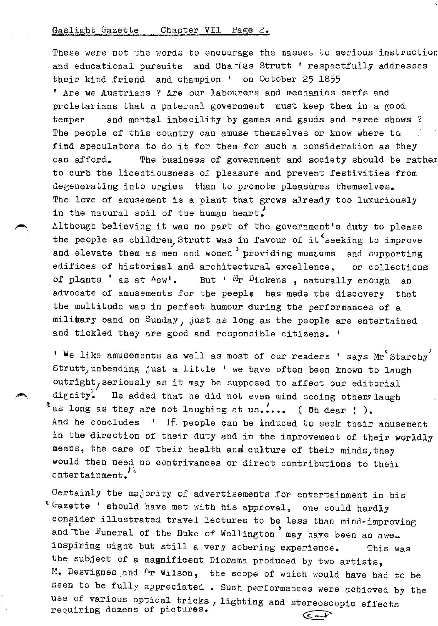These were not the words to encourage the masses to serious instructior and educational pursuits and Charles Strutt ' respectfully addresses their kind friend and champion ' on October 25 1855 1 Are we Austrians ? Are our labourers and mechanics serfs and proletarians that a paternal government must keep them in a good temper and mental imbecility by games and gauds and raree shows ? The people of this country can amuse themselves or know where to find speculators to do it for them for such a consideration as they can afford. The business of government and society should be rather to curb the licentiousness of pleasure and prevent festivities from degenerating into orgies than to promote pleasures themselves. The love of amusement is a plant that grows already too luxuriously in the natural soil of the human heart. Although believing it was no part of the government's duty to please

the people as children Strutt was in favour of it seeking to improve and elevate them as men and women  $\frac{1}{2}$  providing museums and supporting edifices of historiaal and architectural excellence, or collections of plants ' as at  $Kew'$ . But '  $M_T$  Dickens, naturally enough an advocate of amusements for the peeple has made the discovery that the multitude was in perfect humour during the performances of a military band on Sunday 1 just as long as the people are entertained and tickled they are good and responsible citizens. '

' We like amusements as well as most of our readers ' says Mr Starchy Strutt, unbending just a little ' we have often been known to laugh outright, seriously as it may be supposed to affect our editorial dignity. He added that he did not even mind seeing others laugh as long as they are not laughing at us..... ( Oh dear ! ). And he concludes <sup>1</sup> If people can be induced to seek their amusement in the direction of their duty and in the improvement of their worldly means, the care of their health and culture of their minds, they would then need no contrivances or direct contributions to their entertainment.<sup>'\*</sup>

Certainly the majority of advertisements for entertainment in his Gazette ' should have met with his approval, one could hardly consider illustrated travel lectures to be less than mind-improving and the Funeral of the Buke of Wellington may have been an aweinspiring sight but still a very sobering experience. This was the subject of a magnificent Diorama produced by two artists, M. Desvignes and  $\mathfrak{m}_r$  Wilson, the scope of which would have had to be seen to be fully appreciated . Such performances were achieved by the use of various optical tricks, lighting and stereoscopic effects<br>requiring dozens of pictures.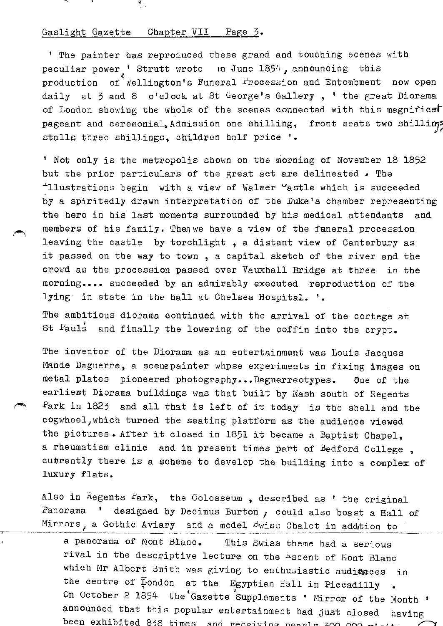' The painter has reproduced these grand and touching scenes with peculiar power ' Strutt wrote in June 1854, announcing this production of wellington's Funeral Procession and Entombment now open daily at  $\frac{1}{2}$  and  $\frac{1}{8}$  o'clock at St George's Gallery, ' the great Diorama of London showing the whole of the scenes connected with this magnificent pageant and ceremonial. Admission one shilling, front seats two shillings stalls three shillings, children half price '.

' Not only is the metropolis shown on the morning of November 18 1852 but the prior particulars of the great act are delineated • The ~llustrations begin with a view of Walmer vastle which is succeeded by a spiritedly drawn interpretation of the Duke's chamber representing the hero in his last moments surrounded by his medical attendants and members of his family. Then we have a view of the funeral procession leaving the castle by torchlight , a distant view of Canterbury as it passed on the way to town , a capital sketch of the river and the crowd as the procession passed over Vauxhall Bridge at three in the morning •••• succeeded by an admirably executed reproduction of the lying in state in the hall at Chelsea Hospital. '.

The ambitious diorama continued with the arrival of the cortege at St  $Pauls$  and finally the lowering of the coffin into the crypt.

The inventor of the Diorama as an entertainment was Louis Jacques Mande Daguerre, a scenepainter whpse experiments in fixing images on metal plates pioneered photography ••• Daguerreotypes. 6ne of the earliest Diorama buildings was that built by Nash south of Regents Park in 1823 and all that is left of it today is the shell and the cogwheel, which turned the seating platform as the audience viewed the pictures • After it closed in 1851 it became a Baptist Chapel, a rheumatism clinic and in present times part of Bedford College , cubrently there is a scheme to develop the building into a complex of luxury flats.

Also in Regents  $Pars$ , the Colosseum, described as ' the original Panorama <sup>1</sup> designed by Decimus Burton , could also boast a Hall of Mirrors, a Gothic Aviary and a model Swiss Chalet in addtion to

a panorama of Mont Blanc. This Swiss theme had a serious rival in the descriptive lecture on the Ascent of Mont Blanc which Mr Albert Smith was giving to enthusiastic audiences in the centre of London at the Egyptian Hall in Piccadilly On October 2 1854 the Gazette Supplements ' Mirror of the Month ' announced that this popular entertainment had just closed been exhibited 838 times and receiving nearly 300,000 having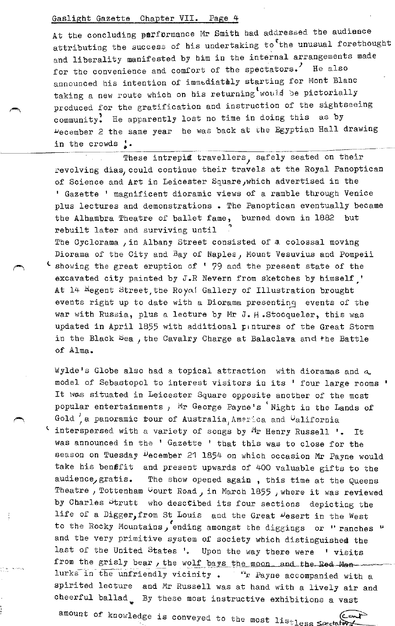At the concluding parformance Mr Smith had addressed the audience attributing the success of his undertaking to the unusual forethought and liberality manifested by him in the internal arrangements made for the convenience and comfort of the spectators.<sup>'</sup> He also announced his intention of immediataly starting for Mont Blanc taking a new route which on his returning would be pictorially produced for the gratification and instruction of the sightseeing community! He apparently lost no time in doing this as by ~ecember 2 the same year he was back at the Egyptian Hall drawing in the crowds  $\frac{1}{2}$ .

These intrepid travellers, safely seated on their revolving dias, could continue their travels at the Royal Panoptican of Science and Art in Leicester Square,which advertised in the ' Gazette ' magnificent dioramic views of a ramble through Venice plus lectures and demonstrations • The Panoptican eventually became the Alhambra Theatre of ballet fame, burned down in 1882 but rebuilt later and surviving until

The Cyclorama, in Albany Street consisted of a colossal moving Diorama of the City and Bay of Naples, Mount Vesuvius and Pompeii  $\epsilon$  showing the great eruption of  $1$  79 and the present state of the excavated city painted by  $J$ .R Nevern from sketches by himself  $^+$ At 14 Regent Street, the Royal Gallery of Illustration brought events right up to date with a Diorama presenting events of the war with Russia, plus a lecture by Mr J. H .Stocqueler, this was updated in April 1855 with additional pintures of the Great Storm in the Black Sea, the Cavalry Charge at Balaclava and the Battle of Alma.

Wylde's Globe also had a topical attraction with dioramas and  $a$ model of Sebastopol to interest visitors in its ' four large rooms <sup>1</sup> It was situated in Leicester Square opposite another of the most popular entertainments, Mr George Payne's 'Night in the Lands of Gold  $'$  a panoramic tour of Australia, America and  $\Omega$ alifornia  $\lq$  interspersed with a variety of songs by  $M_T$  Henry Russell '. It was announced in the ' Gazette ' that this was to close for the season on Tuesday December 21 1854 on which occasion Mr Payne would take his benefit and present upwards of 400 valuable gifts to the audience, gratis. The show opened again, this time at the Queens Theatre, Tottenham Court Road, in March 1855, where it was reviewed by Charles Strutt who desctibed its four sections depicting the life of a Digger, from St Louis and the Great  $\vec{\nu}$  esert in the West to the Rocky Mountains, ending amongst the diggings or " ranches " and the very primitive system of society which distinguished the last of the United States '. Upon the way there were ' visits from the grisly bear, the wolf bays the moon, and the Red Manlurks in the unfriendly vicinity  $\cdot$  "x Payne accompanied with a spirited lecture and Mr Russell was at hand with a lively air and cheerful ballad  $B$  By these most instructive exhibitions a vast

amount of knowledge is conveyed to the most listless Sectat

'. \_.... ......-...... \_.,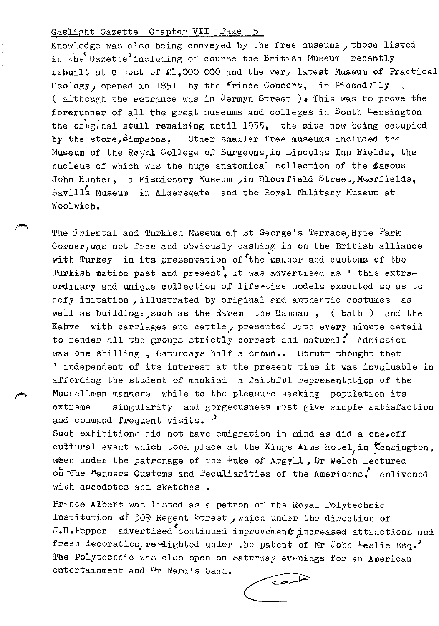Knowledge was also being conveyed by the free museums, those listed in the Gazette including of course the British Museum recently rebuilt at & cost of £1,000 000 and the very latest Museum of Practical Geology, opened in 1851 by the  $r$ ince Consort, in Piccad *n*lly ( although the entrance was in Jermyn Street ). This was to prove the forerunner of all the great museums and colleges in South Aensington the ortginal stull remaining until 1935, the site now being occupied by the store, Simpsons. Other smaller free museums included the Museum of the Royal College of Surgeons, in Lincolns Inn Fields, the nucleus of which was the huge anatomical collection of the flamous John Hunter, a Missionary Museum , in Bloomfield Street, Moorfields, Savill's Museum in Aldersgate and the Royal Military Museum at Woolwich.

The Oriental and Turkish Museum of St George's Terrace, Hyde Park Corner, was not free and obviously cashing in on the British alliance with Turkey in its presentation of  $f$ the manner and customs of the Turkish mation past and present. It was advertised as ' this extraordinary and unique collection of life-size models executed so as to defy imitation , illustrated by original and authertic costumes as well as buildings, such as the  $H$ arem the Hamman, ( bath ) and the Kahve with carriages and cattle, presented with every minute detail to render all the groups strictly correct and natural. Admission was one shilling, Saturdays half a crown.. Strutt thought that ' independent of its interest at the present time it was invaluable in affording the student of mankind a faithfol representation of the Mussellman manners while to the pleasure seeking population its extreme. singularity and gorgeousness must give simple satisfaction and command frequent visits. *)* 

Such exhibitions did not have emigration in mind as did a one.off cultural event which took place at the Kings Arms Hotel, in Kensington, when under the patronage of the  $\mu$ uke of Argyll, Dr Welch lectured on the <sup>M</sup>anners Customs and Peculiarities of the Americans, enlivened with anecdotes and sketches.

Prince Albert was listed as a patron of the Royal Polytechnic Institution  $d^{\dagger}$  309 Regent Street, which under the direction of J.H.Pepper advertised continued improvement increased attractions and fresh decoration, re-lighted under the patent of Mr John Peslie Esq.' The Polytechnic was also open on Saturday evenings for an American entertainment and "'r Ward's band.

تهمس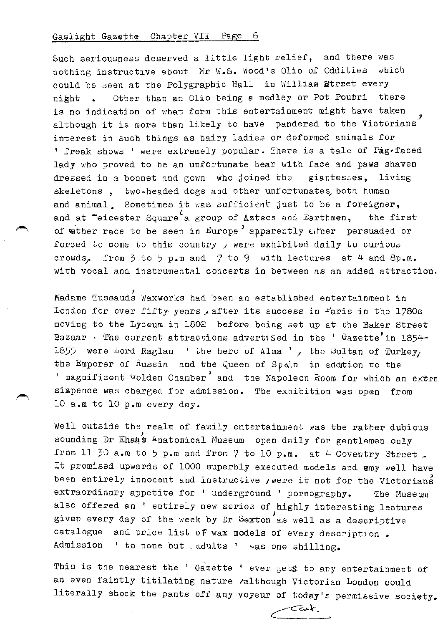Such seriousness deserved a little light relief, and there was nothing instructive about Mr w.s. Wood's Olio of Oddities which could be seen at the Polygraphic Hall in William Street every night . Other than an Olio being a medley or Pot Poutri there is no indication of what form this entertainment might have taken although it is more than likely to have pandered to the Victorians interest in such things as hairy ladies or deformed animals for ' freak shows ' were extremely popular. There is a tale of Pag-faced lady who proved to be an unfortunate bear with face and paws shaven dressed in a bonnet and gown who joined the giantesses, living skeletons, two~headed dogs and other unfortunates, both human and animal. Sometimes it was sufficient just to be a foreigner, and at  $\overline{ }$  eicester Square<sup>4</sup> a group of Aztecs and Earthmen, the first of  $ather$  race to be seen in  $L^2$ urope  $\overline{P}$  apparently  $e$ ither persuaded or forced to come to this country  $\overline{y}$  were exhibited daily to curious crowds, from  $3$  to  $5$  p.m and  $7$  to  $9$  with lectures at 4 and 8p.m. with vocal and instrumental concerts in between as an added attraction.

Madame Tussauds Waxworks had been an established entertainment in London for over fifty years, after its success in  $\pm$ aris in the 1780s moving to the Lyceum in 1802 before being set up at the Baker Street Bazaar  $\cdot$  The current attractions advertised in the ' Gazette'in 1854-1855 were Lord Raglan ' the hero of Alma ', the Sultan of Turkey, the Emporer of Russia and the Queen of  $Sp_{\alpha}[n]$  in addtion to the ' magnificent "olden Chamber' and the Napoleon Room for which an extra sixpence was charged for admission. The exhibition was open from 10 a.m to 10 p.m every day.

Well outside the realm of family entertainment was the rather dubious sounding Dr Khan's Anatomical Museum open daily for gentlemen only from 11 30 a.m to 5 p.m and from 7 to 10 p.m. at 4 Coventry Street. It promised upwards of 1000 superbly executed models and amy well have been entirely innocent and instructive , were it not for the Victorians extraordinary appetite for ' underground ' pornography. The Museum also offered an ' entirely new series of highly interesting lectures given every day of the week by Dr Sexton as well as a descriptive catalogue and price list of wax models of every description. Admission  $\cdot$  to none but adults  $\cdot$  was one shilling.

This is the nearest the ' Gazette ' ever gets to any entertainment of an even faintly titilating nature /although Victorian London could literally shock the pants off any voyeur of today's permissive society.  $~\overline{\phantom{a}}$   $~\overline{\phantom{a}}$   $~\overline{\phantom{a}}$ 

 $\epsilon$ ar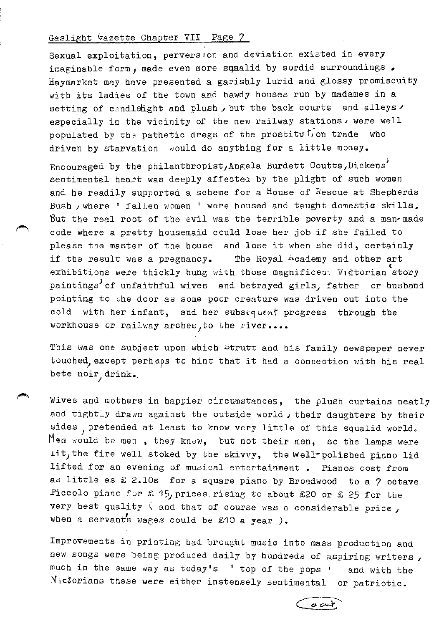Sexual exploitation, pervers ion and deviation existed in every imaginable form, made even more squalid by sordid surroundings  $\Box$ Haymarket may have presented a garishly lurid and glossy promiscuity with its ladies of the town and bawdy houses run by madames in a setting of cendlelight and plush, but the back courts and alleys. especially in the vicinity of the new railway stations, were well populated by the pathetic dregs of the prostitv hon trade who driven by starvation would do anything for a little money.

Encouraged by the philanthropist, Angela Burdett Coutts, Dickens' sentimental heart was deeply affected by the plight of such women and he readily supported a scheme for a House of Rescue at Shepherds Bush, where ' fallen women ' were housed and taught domestic skills, But the real root of the evil was the terrible poverty and a man~made code where a pretty housemaid could lose her job if she failed to please the master of the house and lose it when she did, certainly if the result was a pregnancy. The Royal <sup>A</sup>cademy and other art exhibitions were thickly hung with those magnificen: Victorian story paintings' of unfaithful wives and betrayed girls, father or husband pointing to che door as some poor creature was driven out into the cold with her infant, and her subsequent progress through the workhouse or railway arches, to the river....

This was one subject upon which strutt and his family newspaper never touched, except perhaps to hint that it had a connection with his real bete noir drink.

Wives and mothers in happier circumstances, the plush curtains neatly and tightly drawn against the outside world, their daughters by their sides, pretended at least to know very little of this squalid world. Men would be men, they knew, but not their men, so the lamps were iit, the fire well stoked by the skivvy, the Well-polished piano lid lifted for an evening of musical entertainment • Pianos cost from as little as £ 2.10s for a square piano by Broadwood to a 7 octave Piccolo piano for £ 15, prices rising to about £20 or £ 25 for the very best quality ( and that of course was a considerable price, when a servant's wages could be £10 a year ).

Improvements in printing had brought music into mass production and new songs were being produced daily by hundreds of aspiring writers *<sup>1</sup>* much in the same way as today's ' top of the pops ' and with the  $N$ <sub>1</sub>ctorians these were either instensely sentimental or patriotic.

جمہ ہ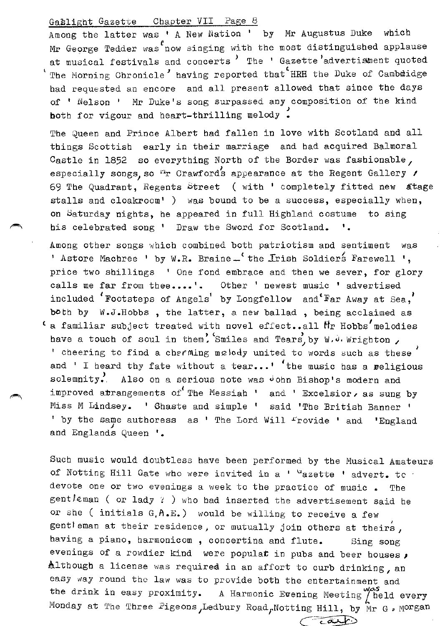Among the latter was ' A New Nation ' by Mr Augustus Duke which Mr George Tedder was now singing with the most distinguished applause at musical festivals and concerts<sup>></sup> The ' Gazette'advertisment quoted The Morning Chronicle' having reported that HRH the Duke of Cambridge had requested an encore and all present allowed that since the days of ' Nelson ' Mr Duke's song surpassed any composition of the kind hoth for vigour and heart-thrilling melody.

The Queen and Prince Albert had fallen in love with Scotland and all things Scottish early in their marriage and had acquired Balmoral Castle in  $1852$  so everything North of the Border was fashionable, especially songs, so  $r_T$  Crawfords appearance at the Regent Gallery / 69 The Quadrant, Regents Street ( with ' completely fitted new atage stalls and cloakroom' ) was bound to be a success, especially when, on Saturday nights, he appeared in full Highland costume to sing his celebrated song ' Draw the Sword for Scotland. '.

Among other songs which combined both patriotism and sentiment was ' Astore Machree ' by W.R. Braine  $\sim$  the Irish Soldiers Farewell ', price two shillings ' One fond embrace and then we sever, for glory calls me far from thee....'. Other ' newest music ' advertised included 'Footsteps of Angels' by Longfellow and Far Away at Sea, bOth by W.J.Hobbs , the latter, a new ballad , being acclaimed as  $c$  a familiar subject treated with novel effect..all Hr Hobbs melodies have a touch of soul in them. 'Smiles and Tears, by W. J. Wrighton, ' cheering to find a cherming melody united to words such as these and ' I heard thy fate without a tear...' <sup>'</sup>the music has a peligious solemnity. Also on a serious note was  $\phi$  ohn Bishop's modern and improved atrangements of The Messiah ' and ' Excelsior, as sung by Miss M Lindsey. ' Shaste and simple ' said 'The British Banner 1 ' by the same authoress as ' The Lord Will Frovide ' and 'England and Englands Queen '.

Such music would doubtless have been performed by the Musical Amateurs of Notting Hill Gate who were invited in a ' "azette ' advert. tc · devote one or two evenings a week to the practice of music. The gent $l$ eman ( or lady ? ) who had inserted the advertisement said he or she ( initials  $G.A.E.)$  would be willing to receive a few gentleman at their residence, or mutually join others at theirs, having a piano, harmonicom, concertina and flute. Sing song evenings of a rowdier kind were populat in pubs and beer houses, Although a license was required in an affort to curb drinking, an easy way round the law was to provide both the entertainment and the drink in easy proximity. A Harmonic Evening Meeting  $\sqrt[m]{h}$ eld every Monday at The Three Pigeons, Ledbury Road, Notting Hill, by  $\overline{M}$ r G, Morgan

 $\overline{\text{cav}}$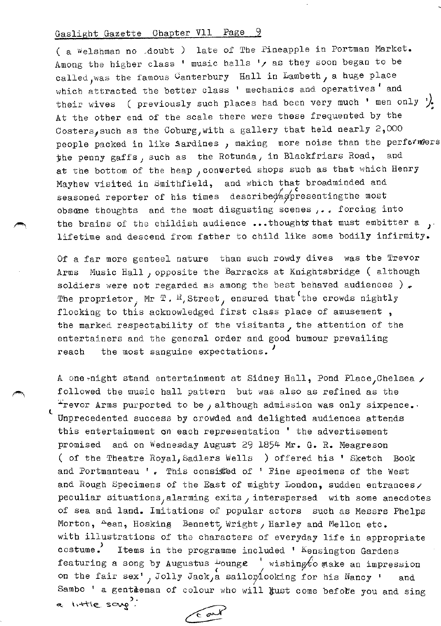( a Welshman no .doubt ) late of The Pineapple in Portman Market. Among the higher class ' music halls ', as they soon began to be called, was the famous Canterbury Hall in Lambeth, a huge place which attracted the better class ' mechanics and operatives ' and their wives ( previously such places had been very much ' men only  $\prime$ ). At the other end of the scale there were these frequented by the Costers, such as the Coburg, with a gallery that held nearly 2,000 people packed in like sardines, making more noise than the performers the penny gaffs, such as the Rotunda, in Blackfriars Road, and at the bottom of the heap , converted shops such as that which Henry Mayhew visited in Smithfield, and which that broadminded and seasoned reporter of his times describe $\sqrt{4}$  spresentingthe most obsane thoughts and the most disgusting scenes,.. forcing into the brains of the childish audience  $\ldots$ thought that must embitter a  $\ldots$ lifetime and descend from father to child like some bodily infirmity.

Of a far more genteel nature than such rowdy dives was the Trevor Arms Music Hall, opposite the Barracks at Knightsbridge (although soldiers were not regarded as among the best behaved audiences ). The proprietor, Mr T.  $\beta$ , Street, ensured that the crowds nightly flocking to this acknowledged first class place of amusement , the marked respectability of the visitants, the attention of the entertainers and the general order and good humour prevailing reach the most sanguine expectations.

A one~night stand entertainment at Sidney Hall, Pond Place, Chelsea, followed the music hall pattern but was also as refined as the Trevor Arms purported to be , although admission was only sixpence. <sup>l</sup>Unprecedented success by crowded and delighted audiences attends this entertainment on each representation ' the advertisement promised and on Wednesday August 29 1854 Mr. G. R. Meagreson ( of the Theatre Royal, Sadlers Wells ) offered his ' Sketch Book and Portmanteau '. This consisted of ' Fine specimens of the West and Rough Specimens of the East of mighty London, sudden entrances, peculiar situations, alarming exits , interspersed with some anecdotes of sea and land. Imitations of popular actors such as Messrs Phelps Morton, Aean, Hosking Bennett, Wright, Harley and Mellon etc. with illustrations of the characters of everyday life in appropriate costume.<sup>></sup> Items in the programme included ' Kensington Gardens featuring a song by Augustus  $\frac{1}{2}$  ounge  $\frac{1}{2}$  wishing to make an impression on the fair sex', Jolly Jack, a sailor docking for his Nancy ' and Sambo ' a gent eman of colour who will gust come befote you and sing  $a$  in the same.

ە ئ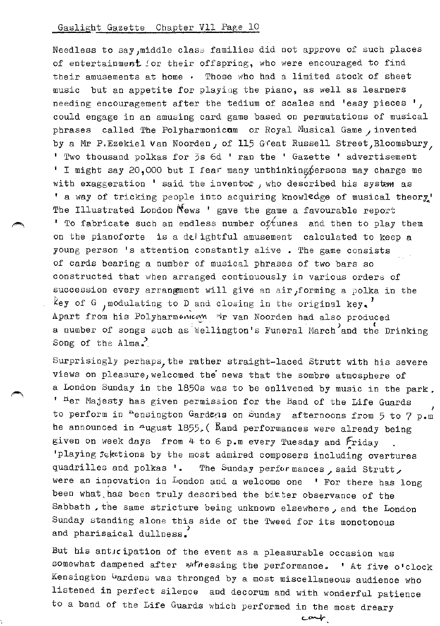Needless to say,middle class families did not approve of such places of entertainment for their offspring, who were encouraged to find their amusements at home • Those who had a limited stock of sheet music but an appetite for playing the piano, as well as learners needing encouragement after the tedium of scales and 'easy pieces ', could engage in an amusing card game based on permutations of musical phrases called The Polyharmonicom or Royal Musical Game, invented by a Mr P. Ezekiel Van Noorden, of 115 Great Russell Street, Bloomsbury, 1 Two thousand polkas for 3s 6d ' ran the ' Gazette ' advertisement ' I might say 20,000 but I fear many unthinking persons may charge me with exaggeration  $'$  said the inventor, who described his system as ' a way of tricking people into acquiring knowledge of musical theory' The Illustrated London Wews ' gave the game a favourable report ' To fabricate such an endless number of funes and then to play them on the pianoforte is a delightful amusement calculated to keep a young person 's attention constantly alive • The game consists of cards bearing a number of musical phrases of two bars so constructed that when arranged continuously in various orders of succession every arrangment will give an air forming a polka in the  $k$ ey of G , modulating to D and closing in the original key.<sup>'</sup> Apart from his Polyharmonicom "Ir van Noorden had also produced a number of songs such as Wellington's Funeral March and the Drinking Song of the  $\text{Alma}$ .

Surprisingly perhaps, the rather straight-laced Strutt with his severe views on pleasure,welcomed the" news that the sombre atmosphere of a London Sunday in the 1850s was to be enlivened by music in the park. to perform in <sup>n</sup>ensington Gardens on Sunday afternoons from 5 to 7 p.m ' Her Majesty has given permission for the Band of the Life Guards he announced in  $\Delta$ ugust 1855. (Band performances were already being given on week days from 4 to 6 p.m every Tuesday and Friday 'playing fekctions by the most admired composers including overtures quadrilles and polkas '. The Sunday performances, said Strutt, were an innovation in London and a welcome one  $'$  For there has long been what has been truly described the bitter observance of the Sabbath , the same stricture being unknown elsewhere, and the London Sunday standing alone this side of the Tweed for its monotonous and pharisaical dullness.

But his anticipation of the event as a pleasurable occasion was somewhat dampened after witnessing the performance. ' At five o'clock Kensington Gardens was thronged by a most miscellaneous audience who listened in perfect silence and decorum and with wonderful patience to a band of the Life Guards which performed in the most dreary

cant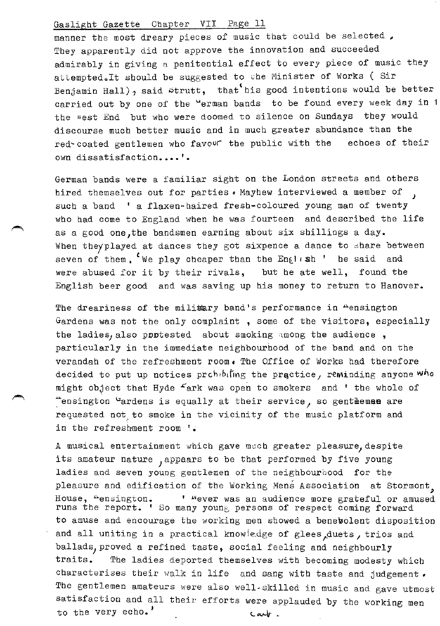manner the most dreary pieces of music that could be selected, They apparently did not approve the innovation and succeeded admirably in giving a penitential effect to every piece of music they attempted. It should be suggested to the Minister of Works ( Sir Benjamin Hall), said  $\overline{\triangleright}$ trutt, that<sup>t</sup>his good intentions would be better carried out by one of the "erman bands to be found every week day in i the west End but who were doomed to silence on Sundays they would discourse much better music and in much greater abundance than the red-coated gentlemen who favout the public with the echoes of their own dissatisfaction....'.

German bands were a familiar sight on the London streets and others hired themselves out for parties . Mayhew interviewed a member of such a band ' a flaxen-haired fresh-coloured young man of twenty who had come to England when he was fourteen and described the life as a good one,the bandsmen earning about six shillings a day. When theyplayed at dances they got sixpence a dance to share between seven of them,  $\epsilon$  We play cheaper than the English ' he said and were abused for it by their rivals, but he ate well, found the English beer good and was saving up his money to return to Hanover.

The dreariness of the military band's performance in "ensington" Gardens was not the only complaint , some of the visitors, especially the ladies, also pootested about smoking among the audience, particularly in the immediate neighbourhood of the band and on the verandah of the refreshment room. The Office of Works had therefore decided to put up notices prchibiling the practice, reminding anyone who might object that Hyde  $\leq$ ark was open to smokers and ' the whole of \*ensington <sup>u</sup>ardens is equally at their service, so genteemen are requested not to smoke in the vicinity of the music platform and in the refreshment room '.

A musical entertainment which gave much greater pleasure, despite its amateur nature , appears to be that performed by five young ladies and seven young gentlemen of the neighbourhood for the pleasure and edification of the Working Mens Association at Stormont, House, "ensington. ' "ever was an audience more grateful or amused runs the report. ' So many young persons of respect coming forward to amuse and encourage the working men showed a benewolent disposition and all uniting in a practical knowledge of glees duets, trios and ballads, proved a refined taste, social feeling and neighbourly traits. The ladies deported themselves with becoming modesty which characterises their walk in life and sang with taste and judgement • The gentlemen amateurs were also well~skilled in music and gave utmost satisfaction and all their efforts were applauded by the working men to the very echo.' Carl Carl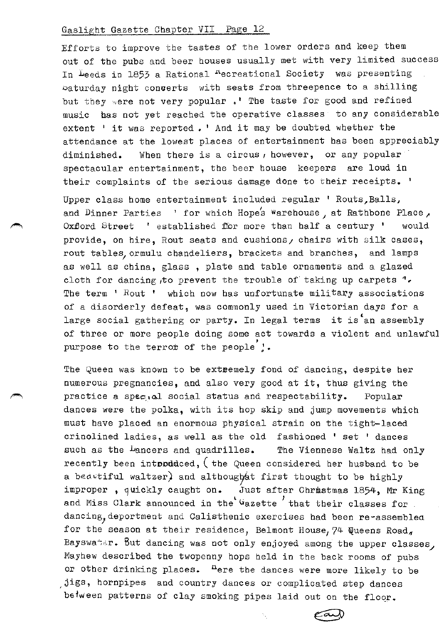Efforts to improve the tastes of the lower orders and keep them out of the pubs and beer houses usually met with very limited success In Leeds in 1853 a Rational <sup>n</sup>ecreational Society was presenting oaturday night converts with seats from threepence to a shilling but they were not very popular.' The taste for good and refined music has not yet reached the operative classes to any considerable extent ' it was reported. ' And it may be doubted whether the attendance at the lowest places of entertainment has been appreciably diminished. When there is a circus, however, or any popular spectacular entertainment, the beer house keepers are loud in their complaints of the serious damage done to their receipts. '

Upper class home entertainment included regular 1 Routs,Balls, and Dinner Parties ' for which Hope's Warehouse, at Rathbone Place, Oxford Street  $'$  established for more than half a century  $'$  would provide, on hire, Rout seats and cushions, chairs with silk cases, rout tables, ormulu chandeliers, brackets and branches, and lamps as well as china, glass , plate and table ornaments and a glazed cloth for dancing, to prevent the trouble of taking up carpets  $4$ . The term  $'$  Rout  $'$  which now has unfortunate military associations of a disorderly defeat, was commonly used in Victorian days for a large social gathering or party. In legal terms it is'an assembly of three or more people doing some act towards a violent and unlawful purpose to the terror of the people<sup> $\cdot$ </sup>.

The Queen was known to be exteemely fond of dancing, despite her numerous pregnancies, and also very good at it, thus giving the practice a spe $c_1$ al social status and respectability. Popular dances were the polka, with its hop skip and jump movements which must have placed an enormous physical strain on the tight-laced crinolined ladies, as well as the old fashioned ' set ' dances such as the Lancers and quadrilles. The Viennese Waltz had only recently been introddced, (the Queen considered her husband to be a beattiful waltzer) and althoughat first thought to be highly improper, quickly caught on. Just after Christmas 1854, Mr King and Miss Clark announced in the  $u_{\text{azette}}'$  that their classes for. dancing, deportment and Calisthenic exercises had been re-assembled for the season at their residence, Belmont House, 74 Queens Road, Bayswater. But dancing was not only enjoyed among the upper classes, Mayhew described the twopenny hops held in the back rooms of pubs or other drinking places.  $n_{\text{ere}}$  the dances were more likely to be ,jigs, hornpipes and country dances or complicated step dances between patterns of clay smoking pipes laid out on the flooy.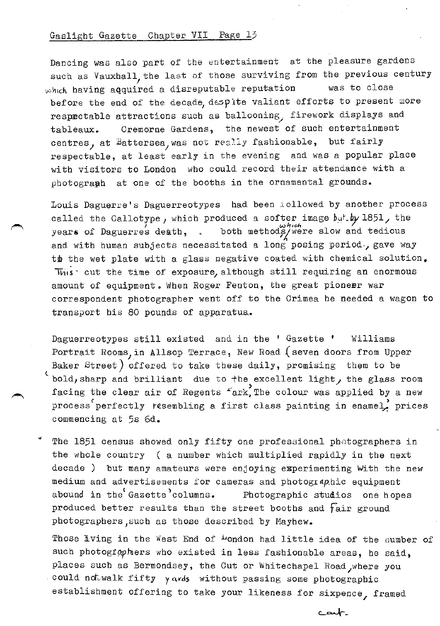Dancing was also part of the entertainment at the pleasure gardens such as Vauxhall, the last of those surviving from the previous century<br>We having acquired a disreputable reputation was to close which having agquired a disreputable reputation before the end of the decade, despite valiant efforts to present more respectable attractions such as ballooning, firework displays and / tableaux. Cremorne Gardens, the newest of such entertainment centres, at Battersea, was not really fashionable, but fairly respectable, at least early in the evening and was a popular place with visitors to London who could record their attendance with a photograph at one of the booths in the ornamental grounds.

Louis Daguerre's Daguerreotypes had been iollowed by another process called the Callotype *1* which produced a softer image *bur\_bv* 1851/ the years of Daguerres death, both methods/were slow and tedious and with human subjects necessitated a long posing period., gave way to the wet plate with a glass negative coated with chemical solution. This cut the time of exposure, although still requiring an enormous amount of equipment. When Roger Fenton, the great pioneer war correspondent photographer went off to the Crimea he needed a wagon to transport his 80 pounds of apparatua.

(\_ Daguerreotypes still existed and in the ' Gazette ' Williams Portrait Rooms, in Allsop Terrace, New Road (seven doors from Upper Baker Street) offered to take these daily, promising them to be bold, sharp and brilliant due to the excellent light, the glass room facing the clear air of Regents  $\frac{3}{2}$ The colour was applied by a new process perfectly resembling a first class painting in enamel, prices commencing at 5s 6d.

The 1851 census showed only fifty one professional photographers in the whole country ( a number which multiplied rapidly in the next decade ) but many amateurs were enjoying experimenting With the new medium and advertisements for cameras and photographic equipment abound in the Gazette columns. Photographic studios one hopes produced better results than the street booths and fair ground photograpbers,such as those described by Mayhew.

Those living in the West End of  $\frac{1}{2}$  ondon had little idea of the number of such photographers who existed in less fashionable areas, he said, places such as Bermondsey, the Cut or Whitechapel Road, where you could not walk fifty y avds without passing some photographic establishment offering to take your likeness for sixpence, framed

د صلحہ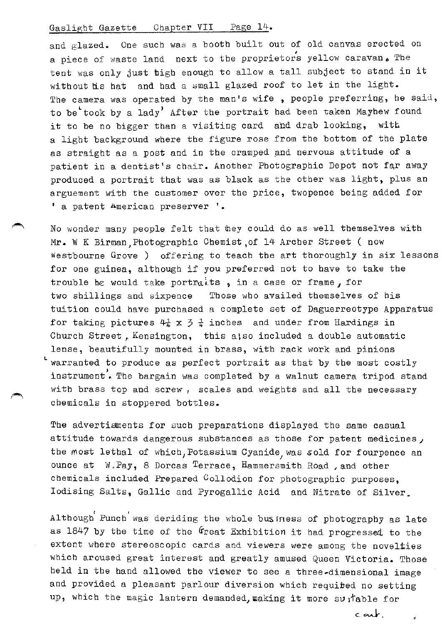and glazed. One such was a booth built out of old canvas erected on<br>a piece of waste land next to the proprietors yellow caravan. The tent was only just bigh enough to allow a tall subject to stand in it without his hat and had a small glazed roof to let in the light. The camera was operated by the man's wife, people preferring, he said, to be took by a lady' After the portrait had been taken Mayhew found it to be no bigger than a visiting card and drab looking, with a light background where the figure rose from the bottom of the plate as straight as a post and in the cramped and nervous attitude of a patient in a dentist's chair. Another Photographic Depot not far away produced a portrait that was as black as the other was light, plus an arguement with the customer over the price, twopence being added for ' a patent American preserver '·

No wonder many people felt that they could do as well themselves with Mr. W K Birman, Photographic Chemist of 14 Archer Street (now Westbourne Grove ) offering to teach the art thoroughly in six lessons for one guinea, although if you preferred not to have to take the trouble be would take portraits, in a case or frame, for two shillings and sixpence Those who availed themselves of his tuition could have purchased a complete set of Daguerreotype Apparatus for taking pictures  $4\frac{1}{4} \times 3\frac{1}{4}$  inches and under from Hardings in Church Street, Kensington, this a; so included a double automatic lense, beautifully mounted in brass, with rack work and pinions warranted to produce as perfect portrait as that by the most costly instrument<sup>'</sup>. The bargain was completed by a walnut camera tripod stand with brass top and screw, scales and weights and all the necessary chemicals in stoppered bottles.

The advertiaments for such preparations displayed the same casual attitude towards dangerous substances as those for patent medicines, the most lethal of which, Potassium Cyanide, was sold for fourpence an ounce at  $W.Pay$ , 8 Dorcas Terrace, Hammersmith Road, and other chemicals included Prepared Collodion for photographic purposes, Iodising Salts, Gallic and Pyrogallic Acid and Nitrate of Silver.

Although Punch was deriding the whole business of photography as late as 1847 by the time of the Great Exhibition it had progressed to the extent where stereoscopic cards and viewers were among the novelfies which aroused great interest and greatly amused Queen Victoria. Those held in the hand allowed the viewer to see a three-dimensional image and provided a pleasant parlour diversion which requited no setting up, which the magic lantern demanded, making it more su fable for

c\_ ovJ...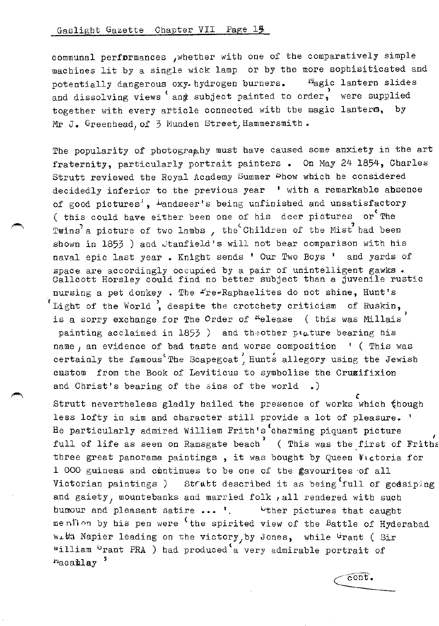communal performances , whether with one of the comparatively simple machines lit by a single wick lamp or by the more sophisiticated and potentially dangerous oxy hydrogen burners. Magic lantern slides and dissolving views 'ang subject painted to order, were supplied together with every article connected with the magic lanterm, by Mr J. Greenhead, of  $\zeta$  Munden Street, Hammersmith.

The popularity of photograahy must have caused some anxiety in the art fraternity, particularly portrait painters • On May 24 1854, Charles Strutt reviewed the Royal Academy Summer Show which he considered decidedly inferior to the previous year ' with a remarkable absence of good pictures',  $\frac{1}{2}$  andseer's being unfinished and unsatisfactory ( this could have either been one of his deer pictures or the Twins<sup>7</sup>a picture of two lambs , the Children of the Mist<sup>7</sup> had been shown in 1853 ) and  $\mathcal{L}$ tanfield's will not bear comparison with his naval epic last year. Knight sends 'Our Two Boys ' and yards of space are accordingly occupied by a pair of unintelligent gawks. Callcott Horsley could find no better subject than a juvenile rustic nursing a pet donkey. The Fre-Raphaelites do not shine, Hunt's Light of the World  $'$ , despite the crotchety criticism of Ruskin, is a sorry exchange for The Order of "elease ( this was Millais painting acclaimed in 1853 ) and theother p+ature bearing his name, an evidence of bad taste and worse composition ' (This was certainly the famous The Scapegoat, Hunts allegory using the Jewish castom from the Book of Leviticus to symbolise the Crueifixion and Christ's bearing of the sins of the world .)

*c*  Strutt nevertheless gladly hailed the presence of works which  $t$ hough less lofty in aim and character still provide a lot of pleasure. ' He particularly admired William Frith's charming piquant picture full of life as seen on Ramsgate beach<sup>?</sup> (This was the first of Friths three great panorama paintings , it was bought by Queen ¥1ctoria for 1 000 guineas and continues to be one of the gavourites of all Victorian paintings ) Strutt described it as being full of godsiping and gaiety, mountebanks and married folk , all rendered with such humour and pleasant satire ••• '. Vther pictures that caught mention by his pen were 'the spirited view of the Battle of Hyderabad with Napier leading on the victory, by Jones, while <sup>trant</sup> ( Sir william  $u$ rant PRA ) had produced a very admirable portrait of <sup>r</sup>acallay<sup>9</sup>

 $\overline{\text{cont}}$ .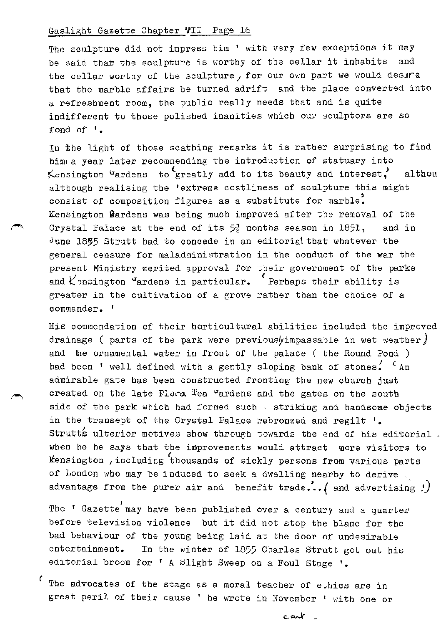The sculpture did not impress him ' with very few exceptions it may be said that the sculpture is worthy of the cellar it inhabits and the cellar worthy of the sculpture, for our own part we would desire that the marble affairs be turned adrift and the place converted into a refreshment room, the public really needs that and is quite indifferent to those polished inanities which our sculptors are so fond of '·

In the light of those scathing remarks it is rather surprising to find him a year later recommending the introduction of statuary into Kensington  $u$ ardens to greatly add to its beauty and interest, althou although realising the 'extreme costliness of sculpture this might consist of composition figures as a substitute for marble. ' Kensington flardens was being much improved after the removal of the Crystal Falace at the end of its  $5\frac{1}{2}$  months season in 1851, and in June  $1855$  Strutt had to concede in an editorial that whatever the general censure for maladministration in the conduct of the war the present Ministry merited approval for their government of the parks and  $K$  ensington  $G$  ardens in particular.  $G$  Perhaps their ability is greater in the cultivation of a grove rather than the choice of a commander. '

His commendation of their horticultural abilities included the improved drainage ( parts of the park were previous/yimpassable in wet weather) and the ornamental water in front of the palace ( the Round Pond ) had been ' well defined with a gently sloping bank of stones. 'An admirable gate has been constructed fronting the new church just created on the late Flora Tea <sup>u</sup>ardens and the gates on the south side of the park which had formed such striking and handsome objects in the transept of the Crystal Palace rebronzed and regilt '. Strutts ulterior motives show through towards the end of his editorial . when he he says that the improvements would attract more visitors to Kensington , including thousands of sickly persons from various parts of London who may be induced to seek a dwelling nearby to derive advantage from the purer air and benefit trade...  $\left($  and advertising *!*)

The ' Gazette'may have been published over a century and a quarter before television violence but it did not stop the blame for the bad behaviour of the young being laid at the door of undesirable entertainment. In the winter of 1855 Charles Strutt got out his editorial broom for ' A Slight Sweep on a Foul Stage '·

The advocates of the stage as a moral teacher of ethics are in great peril of their cause ' he wrote in November ' with one or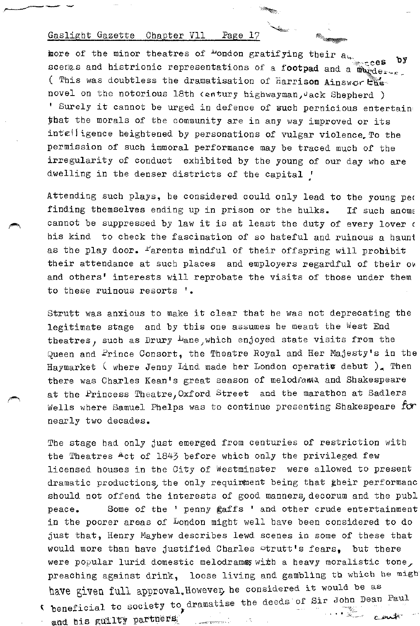have of the minor theatres of  $\frac{1}{2}$  ondon gratifying their  $a_{\mu}$ . scer<sub>Les</sub> and histrionic representations of a footpad and a marders. (This was doubtless the dramatisation of Harrison Ainswor  $\mathbb{R}$ novel on the notorious 18th century highwayman, Jack Shepherd ) <sup>1</sup>Surely it cannot be urged in defence of such pernicious entertain yhat the morals of the community are in any way improved or its intelligence heightened by personations of vulgar violence. To the permission of such immoral performance may be traced much of the irregularity of conduct exhibited by the young of our day who are dwelling in the denser districts of the capital '

**STAND** 

Attending such plays, he considered could only lead to the young peo finding themselves ending up in prison or the hulks. If such anoma cannot be suppressed by law it is at least the duty of every lover of his kind to check the fascination of so hateful and ruinous a bauni as the play door. Farents mindful of their offspring will prohibit their attendance at such places and employers regardful of their ow and others' interests will reprobate the visits of those under them to these ruinous resorts '·

~

Strutt was anxious to make it clear that he was not deprecating the legitimate stage and by this one assumes he meant the West End theatres, such as Drury  $\frac{1}{2}$ ane which enjoyed state visits from the Queen and Prince Consort, the Theatre Royal and Her Majesty's in the Haymarket ( where Jenny Lind made her London operativ debut ). Then there was Charles Kean's great season of melodfama and Shakespeare at the Princess Theatre, Oxford Street and the marathon at Sadlers Wells where Samuel Phelps was to continue presenting Shakespeare  $f\sigma$ nearly two decades.

The stage bad only just emerged from centuries of restriction with the Theatres Act of 1843 before which only the privileged few licensed houses in the City of Westminster were allowed to present dramatic productions, the only requirement being that their performanc should not offend the interests of good manners, decorum and the publ peace. Some of the ' penny gaffs ' and other crude entertainment in the poorer areas of London might well have been considered to do just that, Henry Mayhew describes lewd scenes in some of these that would more than have justified Charles otrutt's fears, but there were popular lurid domestic melodrams with a heavy moralistic tone, preaching against drink, loose living and gambling th which he might have given full approval. However, he considered it would be as ( beneficial to society to dramatise the deeds of Sir John Dean Paul and his guilty partners  $\sim$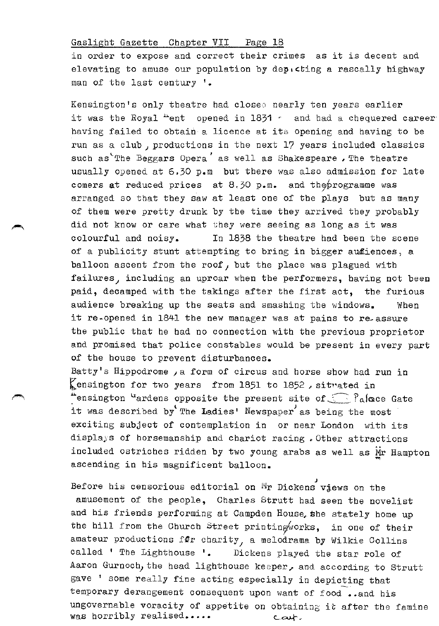in order to expose and correct their crimes as it is decent and elevating to amuse our population by dep,cting a rascally highway man of the last century '.

Kensington's only theatre had closes nearly ten years earlier it was the Royal  $\triangle$ ent opened in 1831  $\cdot$  and had a chequered career having failed to obtain a licence at its opening and having to be run as a club) productions in the next 17 years included classics such as The Beggars Opera as well as Shakespeare, The theatre usually opened at 6.30 p.m but there was also admission for late comers at reduced prices at 8.30 p.m. and the programme was arranged so that they saw at least one of the plays but as many of them were pretty drunk by the time they arrived they probably did not know or care what they were seeing as long as it was colourful and noisy. In 1838 the theatre had been the scene of a publicity stunt attempting to bring in bigger audiences, a balloon ascent from the roof, but the place was plagued with failures, including an uproar when the performers, having not been paid, decamped with the takings after the first act, the furious audience breaking up the seats and smashing the windows. When it re-opened in 1841 the new manager was at pains to re-assure the public that he bad no connection with the previous proprietor and promised that police constables would be present in every part of the house to prevent disturbances.

Batty's Hippodrome  $\mu$  a form of circus and horse show had run in  $\zeta$ ensington for two years from 1851 to 1852, sitrated in "ensington <sup>u</sup>ardens opposite the present site of  $\bigcirc$   $\}$  a.fgce Gate it was described by The Ladies' Newspaper as being the most exciting subject of contemplation in or near London with its displays of horsemanship and chariot racing . Other attractions included ostriches ridden by two young arabs as well as  $\dot{M}$ r Hampton ascending in his magnificent balloon.

Before his censorious editorial on  $M_{\rm I\!P}$  Dickens vjews on the amusement of the people, Charles Strutt had seen the novelist and his friends performing at Campden House, the stately home up the hill from the Church Street printing works, in one of their amateur productions f $r$  charity, a melodrama by Wilkie Collins called ' The Lighthouse '. Dickens played the star role of Aaron Gurnoch, the head lighthouse keeper, and according to Strutt gave ' some really fine acting especially in depicting that temporary derangement consequent upon want of food ..and his ungovernable voracity of appetite on obtaining it after the famine was horribly realised.....  $\Box \sim$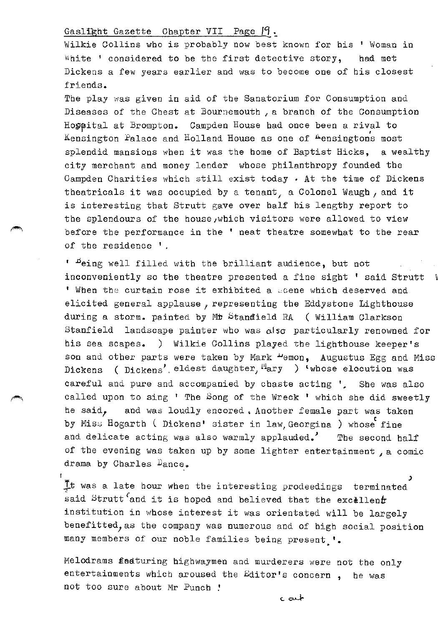Wilkie Collins who is probably now best known for his ' Woman in White ' considered to be the first detective story, bad met Dickens a few years earlier and was to become one of his closest friends.

The play was given in aid of the Sanatorium for Consumption and Diseases of the Chest at Bournemouth *1* a branch of the Consumption Hospital at Brompton. Campden House had once been a rival to Kensington Palace and Holland House as one of  $A$ ensingtons most splendid mansions when it was the home of Baptist Hicks, a wealthy city merchant and money lender whose philanthropy founded the Campden Charities which still exist today • At the time of Dickens theatricals it was occupied by a tenant, a Colonel Waugh, and it is interesting that Strutt gave over half his lengthy report to the splendours of the bouse,wbicb visitors were allowed to view before the performance in the ' neat theatre somewhat to the rear of the residence '.

<sup>1</sup> Peing well filled with the brilliant audience, but not inconveniently so the theatre presented a fine sight  $'$  said Strutt ' When the curtain rose it exhibited a scene which deserved and elicited general applause, representing the Eddystone Lighthouse during a storm. painted by Mt Standield RA ( William Clarkson Stanfield landscape painter who was also particularly renowned for his sea scapes. ) Wilkie Collins played the lighthouse keeper's son and other parts were taken by Mark "emon, Augustus Egg and Miss Dickens (Dickens' eldest daughter,  $M_{\text{ary}}$ ) 'whose elocution was careful and pure and accompanied by chaste acting ', She was also called upon to sing ' The Song of the Wreck ' which she did sweetly he said, and was loudly encored . Another female part was taken by Miss Hogarth ( Dickens' sister in law Georgina ) whose fine and delicate acting was also warmly applauded.' The second half of the evening was taken up by some lighter entertainment, a comic drama by Charles Dance.

t<br>It was a late hour when the interesting prodeedings terminated said Strutt<sup>f</sup>and it is hoped and believed that the excellent institution in whose interest it was orientated will be largely benefitted, as the company was numerous and of high social position many members of our noble families being present '.

Melodrams fedturing highwaymen and murderers were not the only entertainments which aroused the Editor's concern, he was not too sure about Mr Punch *!* 

د صه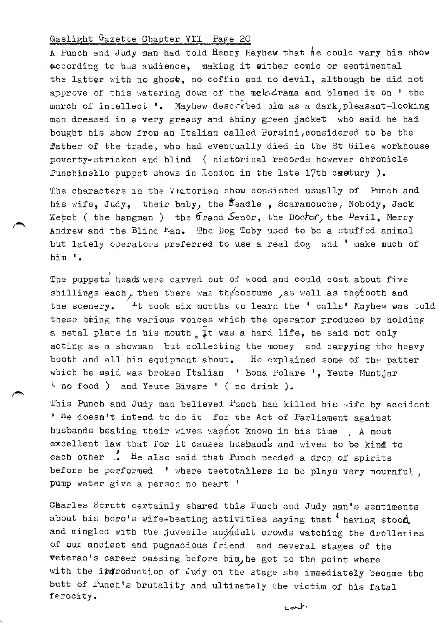A Punch and Judy man had told Henry Mayhew that he could vary his show according to hus audience, making it wither comic or sentimental the latter with no ghost, no coffin and no devil, although he did not approve of this watering down of the melodrama and blamed it on ' the march of intellect '. Mayhew described him as a dark, pleasant-looking man dressed in a very greasy and shiny green jacket who said he had bought his show from an Italian called Porsini, considered to be the father of the trade, who bad eventually died in the St Giles workhouse poverty-stricken and blind ( historical records however chronicle Punchinello puppet shows in London in the late 17th cectury ).

The characters in the V\*dtorian show consisted usually of Punch and his wife, Judy, their baby, the  $\beta$ eadle, Scaramouche, Nobody, Jack Ketch ( the hangman ) the  $\sigma$  frand Senor, the Doctor, the <sup>D</sup>evil, Merry Andrew and the Blind Man. The Dog Toby used to be a stuffed animal but lately operators preferred to use a real dog and  $'$  make much of him •.

The puppets heads were carved out of wood and could cost about five shillings each, then there was the costume , as well as the booth and the scenery.  $4t$  took six months to learn the ' calls' Mayhew was told these being the various voices which the operator produced by holding a metal plate in his mouth, It was a hard life, he said not only acting as a showman but collecting the money and caryying the heavy booth and all his equipment about. He explained some of the patter which he said was broken Italian ' Bona Polare ', Yeute Muntjar \ no food ) and Yeute Bivare ' ( no drink ).

This Punch and Judy man believed Punch had killed his wife by accident  $1$ <sup>t H</sup>e doesn't intend to do it for the Act of Parliament against husbands beating their wives washot known in his time . A most excellent law that for it causes husbands and wives to be kind to each other  $\cdot$ . He also said that Punch needed a drop of spirits before he performed ' where teetotallers is he plays very mournful, pump water give a person no heart '

Charles Strutt certainly shared this Punch and Judy man's sentiments about his hero's wife-beating activities saying that  $\epsilon$  having stood and mingled with the juvenile and ault crowds watching the drolleries of our ancient and pugnacious friend and several stages of the veteran's career passing before him, he got to the point where with the indroduction of Judy on the stage she immediately became the butt of Punch's brutality and ultimately the victim of his fatal ferocity. eart.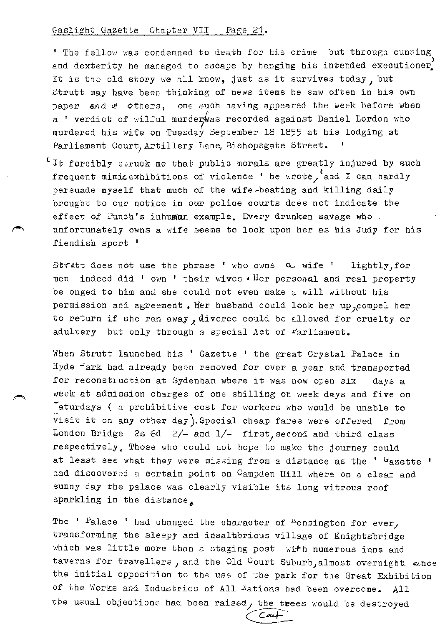' The fellow was condemned to death for his crime but through cunning and dexterity he managed to escape by hanging his intended executioner. It is the old story we all know, just as it survives today, but Btrutt may have been thinking of news items he saw often in his own paper and  $\omega$  others, one such having appeared the week before when a ' verdict of wilful murder was recorded against Daniel Lordon who murdered his wife on Tuesday September 18 1855 at his lodging at Parliament Court, Artillery Lane, Bishopsgate Street.

 $c$ It forcibly struck me that public morals are greatly injured by such frequent mimic exhibitions of violence ' he wrote, and I can hardly persuade myself that much of the wife-beating and killing daily brought to our notice in our police courts does not indicate tbe effect of Punch's inhumun example. Every drunken savage who . unfortunately owns a wife seems to look upon her as his Judy for his fiendish sport '

Strutt does not use the phrase ' who owns  $\alpha$  wife ' lightly for men indeed did ' own ' their wives . Her personal and real property be onged to him and she could not even make a will without his permission and agreement. Her husband could lock her up compel her to return if she ran away, divorce could be allowed for cruelty or adultery but only through a special Act of farliament.

When Strutt launched his ' Gazette ' the great Crystal Palace in Hyde "ark had already been removed for over a year and transported for reconstruction at Sydenham where it was now open six days a week at admission charges of one shilling on week days and five on -aturdays ( a prohibitive cost for workers who would be unable to visit it on any other day). Special cheap fares were offered from London Bridge 2s 6d  $2/-$  and  $1/-$  first, second and third class respectively. Those who could not hope to make the journey could at least see what they were missing from a distance as the ' "azette ' bad discovered a certain point on Gampden Hill where on a clear and sunny day the palace was clearly visible its long vitrous roof sparkling in the distance.

The '  $F$ alace ' had changed the character of "ensington for ever, transforming the sleepy and insalubrious village of Knightsbridge which was little more than a staging post with numerous inns and taverns for travellers, and the Old Court Suburb, almost overnight. once the initial opposition to tbe use of the park for the Great Exhibition of the Works and Industries of All Wations had been overcome. All the usual objections had been raised, the trees would be destroyed  $\frac{1}{\sqrt{2}}$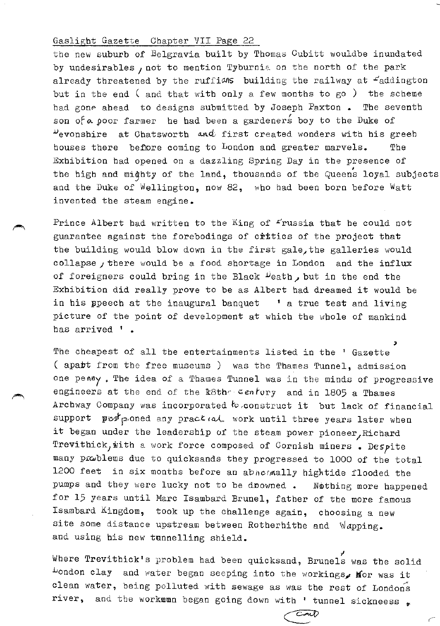the new suburb of Belgravia built by Thomas Cubitt wouldbe inundated by undesirables, not to mention Tyburnia on the north of the park already threatened by the ruffiams building the railway at  $\mathcal{L}_{\text{addington}}$ but in the end ( and that with only a few months to go ) the scheme had gone ahead to designs submitted by Joseph Paxton . The seventh son of a poor farmer he had been a gardeners boy to the Duke of  $\mathcal{L}_{\text{evonshire}}$  at Chatsworth and first created wonders with his greeb houses there beflore coming to London and greater marvels. Exhibition bad opened on a dazzling Spring Day in the presence of the high and mighty of the land, thousands of the Queens loyal subjects and the Duke of Wellington, now 82, who bad been born before Watt invented the steam engine.

Prince Albert had written to the King of  $F$ russia that he could not guarantee against the forebodings of critics of the project that the building would blow down in the first gale, the galleries would collapse  $f$  there would be a food shortage in London and the influx of foreigners could bring in the Black  $\mu$ eath, but in the end the Exhibition did really prove to be as Albert had dreamed it would be in his ppeech at the inaugural banquet ' a true test and living picture of the point of development at which the whole of mankind has arrived '.

The cheapest of all the entertainments listed in the ' Gazette ( apatt from the free museums ) was the Thames Tunnel, admission one penny . The idea of a Thames Tunnel was in the minds of progressive engineers at the end of the  $k8th$ . Cenfury and in 1805 a Thames Archway Company was incorporated  $\kappa$  construct it but lack of financial support  $\mathbf{p} \circ \mathbf{s}^{\dagger}$  poned any practicle work until three years later when it began under the leadership of the steam power pioneer, Richard Trevithick, with a work force composed of Cornish miners . Despite many problems due to quicksands they progressed to 1000 of the total 1200 feet in six months before an abhormally hightide flooded the pumps and they were lucky not to be doowned . Nothing more happened for 15 years until Marc Isambard Brunel, father of the more famous Isambard Kingdom, took up the challenge again, choosing a new site some distance upstream between Rotherhithe and  $W{\text{apping}}$ . and using his new tannelling shield.

.; Where Trevitbick's problem had been quicksand, Brunels was the solid London clay and water began seeping into the workings, Mor was it clean water, being polluted with sewage as was the rest of Londons river, and the workman began going down with ' tunnel sickneess  $_{\ast}$ 

Cout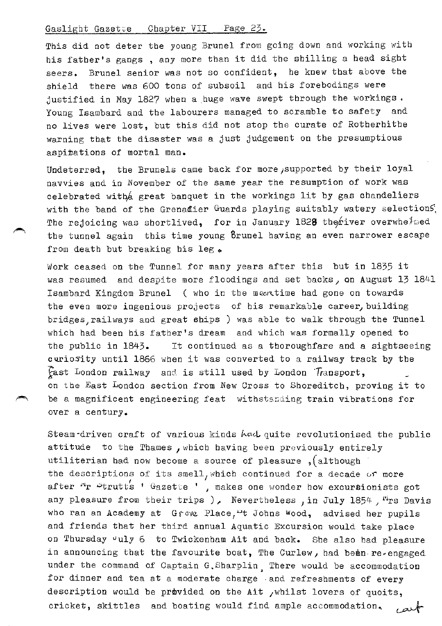This did not deter the young Brunel from going down and working with his father's gangs , any more than it did the shilling a bead sight seers. Brunel senior was not so confident, he knew that above the shield there was 600 tons of subsoil and his forebodings were justified in May 1827 when a huge wave swept through the workings. Young Isambard and the labourers managed to scramble to safety and no lives were lost, but this did not stop the curate of Rotherhitbe warning that the disaster was a just judgement on the presumptious aspitations of mortal man.

Undeterred, the Brunels came back for more supported by their loyal navvies and in November of the same year the resumption of work was celebrated with agreat banquet in the workings lit by gas chandeliers with the band of the Grenadier Guards playing suitably watery selections. The rejoicing was shortlived, for in January 1828 the fiver overwheled the tunnel again this time young Brunel having an even narrower escape from death but breaking his leg  $\sim$ 

Work ceased on the Tunnel for many years after this but in 1835 it was resumed and despite more floodings and set backs, on August 13 1841 Isambard Kingdom Brunel ( who in the meartime had gone on towards the even more ingenious projects of his remarkable career, building bridges,railways and great ships ) was able to walk through the Tunnel which had been his father's dream and which was formally opened to the public in 1843. It continued as a thoroughfare and a sightseeing curiosity until 1866 when it was converted to a railway track by the  $\sqrt{2}$  London railway and is still used by London  $\sqrt{T}$ ansport, on the East London section from New Cross to Shoreditch, proving it to be a magnificent engineering feat withstanding train vibrations for over a century.

Steam-driven craft of various kinds had quite revolutionised the public attitude to the Thames, which having been previously entirely utiliterian had now become a source of pleasure , (although the descriptions of its smell, which continued for a decade  $\sigma$  more after  $"r$   $'$ trutt's ' Gazette ' , makes one wonder how excursionists got any pleasure from their trips ), Nevertheless, in July 1854, <sup>ri</sup>rs Davis who ran an Academy at Grove Place, it Johns Wood, advised her pupils and friends that her third annual Aquatic Excursion would take place on Thursday vuly 6 to Twickenbam Ait and back. She also had pleasure in announcing that the favourite boat, The Curlew, had been re,engaged under the command of Captain G.Sharplin There would be accommodation *<sup>6</sup>* for dinner and tea at a moderate charge .and refreshments of every description would be provided on the Ait , whilst lovers of quoits, cricket, skittles and boating would find ample accommodation.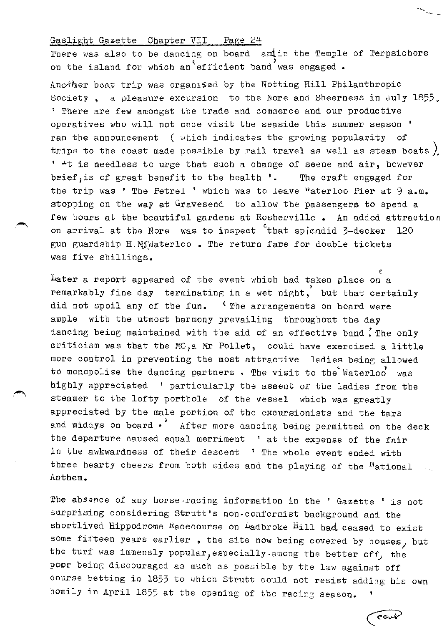There was also to be dancing on board andin the Temple of Terpsichore on the island for which an efficient band was engaged.

Another boat trip was organised by the Notting Hill Philanthropic Society, a pleasure excursion to the Nore and Sheerness in July 1855. ' There are few amongst the trade and commerce and our productive operatives wbo will not once visit the seaside this summer season 1 ran the announcement ( which indicates the growing popularity of trips to the coast made possible by rail travel as well as steam boats  $/$  $1$ <sup>+</sup>  $t$  is needless to urge that such a change of seene and air, however brief, is of great benefit to the health  $\cdot$  The craft engaged for the trip was ' The Petrel ' which was to leave "aterloo Pier at  $9$  a.m. stopping on the way at Gravesend to allow the passengers to spend a few hours at the beautiful gardens at Rosherville. An added attraction on arrival at the Nore was to inspect  $\epsilon$  that splendid 3-decker 120 gun guardship H. MSWaterloo . The return fate for double tickets was five shillings.

Later a report appeared of the event which had taken place on a remarkably fine day terminating in a wet night, but that certainly did not spoil any of the fun. ' The arrangements on board were ample with the utmost harmony prevailing throughout the day dancing being maintained with the aid of an effective band, The only criticism was that the MC 7a Mr Pollet, could have exercised a little more control in preventing the most attractive ladies being allowed to monopolise the dancing partners. The visit to the Waterloo was highly appreciated 1 particularly the assent or the ladies from the steamer to the lofty porthole of the vessel which was greatly appreciated by the male portion of the excursionists and the tars and middys on board <sup>,</sup> After more dancing being permitted on the deck the departure caused equal merriment ' at the expense of the fair in the awkwardness of their descent ' The whole event ended with three hearty cheers from both sides and the playing of the <sup>n</sup>ational Anthem.

The absence of any horse-racing information in the ' Gazette ' is not surprising considering Strutt's non-conformist background and the shortlived Hippodrome Racecourse on Ladbroke Hill had ceased to exist some fifteen years earlier, the site now being covered by houses, but the turf was immensly popular, especially among the better off, the poor being discouraged as much as possible by the law against off course betting in 1853 to which Strutt could not resist adding bis own homily in April 1855 at the opening of the racing season.

towl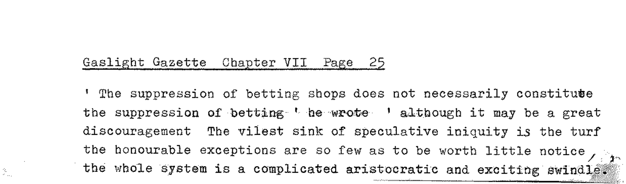á.<br>Alb

' The suppression of betting shops does not necessarily constitute the suppression of betting  $\cdot$  he wrote  $\cdot$  although it may be a great discouragement The vilest sink of speculative iniquity is the turf the honourable exceptions are so few as to be worth little notice, the whole system is a complicated aristocratic and exciting swindless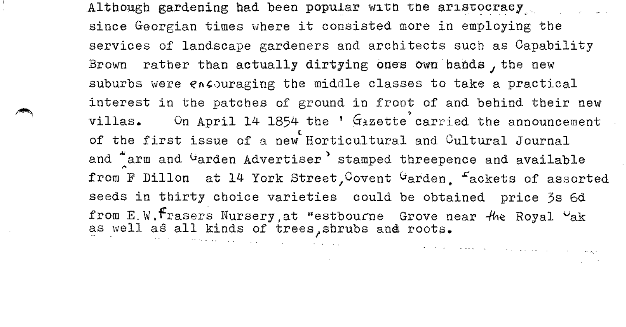Although gardening had been popular with the aristocracy  $\mathcal{L}_{\mathcal{L}}$ since Georgian times where it consisted more in employing the services of landscape gardeners and architects such as Capability Brown rather than actually dirtying ones own hands, the new suburbs were ensouraging the middle classes to take a practical interest in the patches of ground in front of and behind their new villas. On April 14 1854 the ' Gazette carried the announcement of the first issue of a new Horticultural and Cultural Journal and <sup>\*</sup>arm and <sup>G</sup>arden Advertiser 'stamped threepence and available from F Dillon at 14 York Street, Covent Garden. Fackets of assorted seeds in thirty choice varieties could be obtained price 3s 6d from E.W. frasers Nursery, at "estbourne Grove near  $-$ the Royal  $\vee$ ak as well as all kinds of trees shrubs and roots.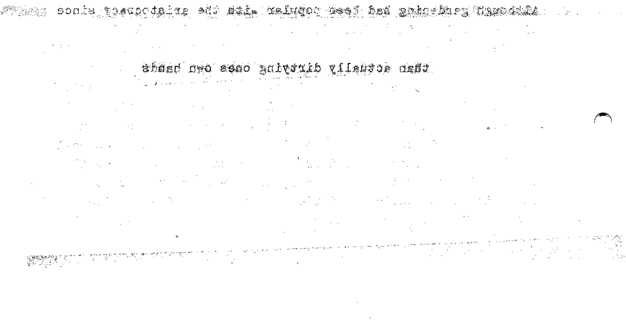than actually dirtying ones own hands

 $\label{eq:2.1} \mathcal{L}(\mathcal{A}) = \mathcal{L}(\mathcal{A}) \mathcal{L}(\mathcal{A})$ 

 $\label{eq:2.1} \frac{d\mathbf{r}}{d\mathbf{r}} = \frac{d\mathbf{r}}{d\mathbf{r}} \left[ \frac{d\mathbf{r}}{d\mathbf{r}} + \frac{d\mathbf{r}}{d\mathbf{r}} \right] \left[ \frac{d\mathbf{r}}{d\mathbf{r}} + \frac{d\mathbf{r}}{d\mathbf{r}} \right] \, .$ 

かちかい アーバー アーバー・エー

a sa Tanggarang Kabupatèn Tenggaran<br>Kabupatèn Sumah  $\mathcal{L}^{\mathcal{L}}(\mathcal{L}^{\mathcal{L}}(\mathcal{L}^{\mathcal{L}}(\mathcal{L}^{\mathcal{L}}(\mathcal{L}^{\mathcal{L}}(\mathcal{L}^{\mathcal{L}}(\mathcal{L}^{\mathcal{L}}(\mathcal{L}^{\mathcal{L}}(\mathcal{L}^{\mathcal{L}}(\mathcal{L}^{\mathcal{L}}(\mathcal{L}^{\mathcal{L}}(\mathcal{L}^{\mathcal{L}}(\mathcal{L}^{\mathcal{L}}(\mathcal{L}^{\mathcal{L}}(\mathcal{L}^{\mathcal{L}}(\mathcal{L}^{\mathcal{L}}(\mathcal{L}^{\mathcal{L$ 

アンドラン 不安 アンドウ  $\mathcal{L}_{\text{max}}$  and  $\mathcal{L}_{\text{max}}$  and  $\mathcal{L}_{\text{max}}$ form.  $\sqrt{1-\lambda}$ 

 $\mathcal{L} = \mathcal{L} \mathcal{L} \mathcal{L} \mathcal{L} \mathcal{L} \mathcal{L} \mathcal{L} \mathcal{L} \mathcal{L} \mathcal{L} \mathcal{L} \mathcal{L} \mathcal{L} \mathcal{L} \mathcal{L} \mathcal{L} \mathcal{L} \mathcal{L} \mathcal{L} \mathcal{L} \mathcal{L} \mathcal{L} \mathcal{L} \mathcal{L} \mathcal{L} \mathcal{L} \mathcal{L} \mathcal{L} \mathcal{L} \mathcal{L} \mathcal{L} \mathcal{L} \mathcal{L} \mathcal{L} \mathcal{L} \mathcal$  $\label{eq:2} \mathcal{L}_{\text{max}} = \mathcal{L}_{\text{max}} + \mathcal{L}_{\text{max}} + \mathcal{L}_{\text{max}}$ 2019년 - 대한민국의 대한민국의 대한민국의 대한민국의 대한민국의 대한민국의 대한민국의 대한민국의 대한민국의 대한민국의 대한민국의 대한민국의 대한민국의 대한민국의 대한민국의 대한민국의 대한민국의 <br>대한민국의 대한민국의 대한민국의 대한민국의 대한민국의 대한민국의 대한민국의 대한민국의 대한민국의 대한민국의 대한민국의 대한민국의 대한민국의 대한민국의 대한민국의 대한민국의 대한민국의 대한민국의 대한

 $\sigma^2 = 1.00$  and  $\sigma^2 = 1.00$  $\mathcal{L}^{\mathcal{L}}$  and the second contribution of the second contribution of the second contribution of the second contribution of the second contribution of the second contribution of the second contribution of the second c

A. アイティー・スページ アイティー・アメリカー アイルエート and the first state of the

 $\label{eq:2.1} \frac{1}{\sqrt{2}}\int_{\mathbb{R}^3}\frac{1}{\sqrt{2}}\left(\frac{1}{\sqrt{2}}\right)^2\left(\frac{1}{\sqrt{2}}\right)^2\left(\frac{1}{\sqrt{2}}\right)^2\left(\frac{1}{\sqrt{2}}\right)^2\left(\frac{1}{\sqrt{2}}\right)^2\left(\frac{1}{\sqrt{2}}\right)^2\left(\frac{1}{\sqrt{2}}\right)^2.$  $\ddot{\phantom{a}}$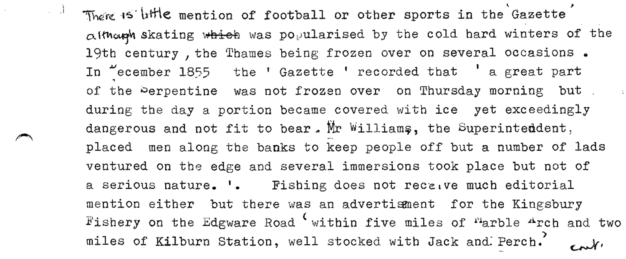$\frac{1}{\pi}$  There is little mention of football or other sports in the Gazette  $\alpha$ !thouph skating which was popularised by the cold hard winters of the 19th century, the Thames being frozen over on several occasions. In  $\tilde{}$  ecember 1855 the ' Gazette ' recorded that  $\tilde{}$  a great part of the Perpentine was not frozen over on Thursday morning but during the day a portion became covered with ice yet exceedingly dangerous and not fit to bear. Mr Williams, the Superinteddent, placed men along the banks to keep people off but a number of lads ventured on the edge and several immersions took place but not of a serious nature.  $\cdot$  Fishing does not recalve much editorial mention either but there was an advertisment for the Kingsbury Fishery on the Edgware Road  $'$  within five miles of "arble "rch and two miles of Kilburn Station, well stocked with Jack and Perch.